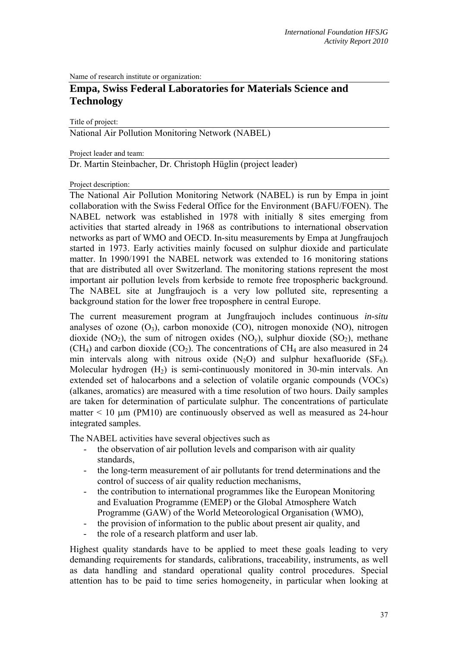Name of research institute or organization:

# **Empa, Swiss Federal Laboratories for Materials Science and Technology**

Title of project:

National Air Pollution Monitoring Network (NABEL)

Project leader and team:

Dr. Martin Steinbacher, Dr. Christoph Hüglin (project leader)

Project description:

The National Air Pollution Monitoring Network (NABEL) is run by Empa in joint collaboration with the Swiss Federal Office for the Environment (BAFU/FOEN). The NABEL network was established in 1978 with initially 8 sites emerging from activities that started already in 1968 as contributions to international observation networks as part of WMO and OECD. In-situ measurements by Empa at Jungfraujoch started in 1973. Early activities mainly focused on sulphur dioxide and particulate matter. In 1990/1991 the NABEL network was extended to 16 monitoring stations that are distributed all over Switzerland. The monitoring stations represent the most important air pollution levels from kerbside to remote free tropospheric background. The NABEL site at Jungfraujoch is a very low polluted site, representing a background station for the lower free troposphere in central Europe.

The current measurement program at Jungfraujoch includes continuous *in-situ* analyses of ozone  $(O_3)$ , carbon monoxide  $(CO)$ , nitrogen monoxide  $(NO)$ , nitrogen dioxide (NO<sub>2</sub>), the sum of nitrogen oxides (NO<sub>y</sub>), sulphur dioxide (SO<sub>2</sub>), methane  $(CH<sub>4</sub>)$  and carbon dioxide  $(CO<sub>2</sub>)$ . The concentrations of CH<sub>4</sub> are also measured in 24 min intervals along with nitrous oxide  $(N_2O)$  and sulphur hexafluoride  $(SF_6)$ . Molecular hydrogen  $(H<sub>2</sub>)$  is semi-continuously monitored in 30-min intervals. An extended set of halocarbons and a selection of volatile organic compounds (VOCs) (alkanes, aromatics) are measured with a time resolution of two hours. Daily samples are taken for determination of particulate sulphur. The concentrations of particulate matter  $\leq 10$  µm (PM10) are continuously observed as well as measured as 24-hour integrated samples.

The NABEL activities have several objectives such as

- the observation of air pollution levels and comparison with air quality standards,
- the long-term measurement of air pollutants for trend determinations and the control of success of air quality reduction mechanisms,
- the contribution to international programmes like the European Monitoring and Evaluation Programme (EMEP) or the Global Atmosphere Watch Programme (GAW) of the World Meteorological Organisation (WMO),
- the provision of information to the public about present air quality, and
- the role of a research platform and user lab.

Highest quality standards have to be applied to meet these goals leading to very demanding requirements for standards, calibrations, traceability, instruments, as well as data handling and standard operational quality control procedures. Special attention has to be paid to time series homogeneity, in particular when looking at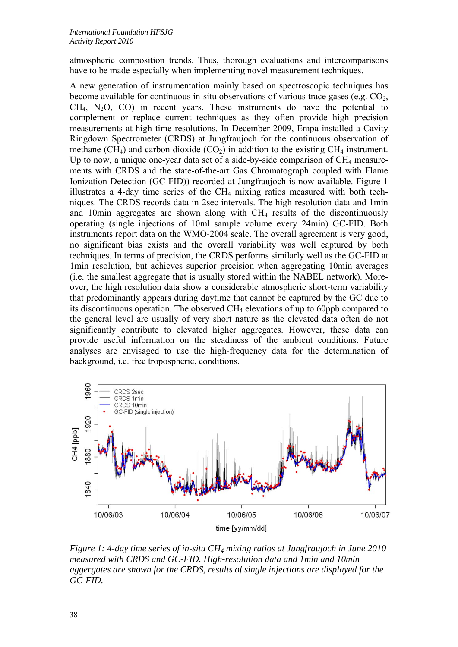atmospheric composition trends. Thus, thorough evaluations and intercomparisons have to be made especially when implementing novel measurement techniques.

A new generation of instrumentation mainly based on spectroscopic techniques has become available for continuous in-situ observations of various trace gases (e.g.  $CO<sub>2</sub>$ ,  $CH<sub>4</sub>$ , N<sub>2</sub>O, CO) in recent years. These instruments do have the potential to complement or replace current techniques as they often provide high precision measurements at high time resolutions. In December 2009, Empa installed a Cavity Ringdown Spectrometer (CRDS) at Jungfraujoch for the continuous observation of methane (CH<sub>4</sub>) and carbon dioxide (CO<sub>2</sub>) in addition to the existing CH<sub>4</sub> instrument. Up to now, a unique one-year data set of a side-by-side comparison of  $CH_4$  measurements with CRDS and the state-of-the-art Gas Chromatograph coupled with Flame Ionization Detection (GC-FID)) recorded at Jungfraujoch is now available. Figure 1 illustrates a 4-day time series of the  $CH<sub>4</sub>$  mixing ratios measured with both techniques. The CRDS records data in 2sec intervals. The high resolution data and 1min and 10min aggregates are shown along with  $CH<sub>4</sub>$  results of the discontinuously operating (single injections of 10ml sample volume every 24min) GC-FID. Both instruments report data on the WMO-2004 scale. The overall agreement is very good, no significant bias exists and the overall variability was well captured by both techniques. In terms of precision, the CRDS performs similarly well as the GC-FID at 1min resolution, but achieves superior precision when aggregating 10min averages (i.e. the smallest aggregate that is usually stored within the NABEL network). Moreover, the high resolution data show a considerable atmospheric short-term variability that predominantly appears during daytime that cannot be captured by the GC due to its discontinuous operation. The observed CH4 elevations of up to 60ppb compared to the general level are usually of very short nature as the elevated data often do not significantly contribute to elevated higher aggregates. However, these data can provide useful information on the steadiness of the ambient conditions. Future analyses are envisaged to use the high-frequency data for the determination of background, i.e. free tropospheric, conditions.



*Figure 1: 4-day time series of in-situ CH4 mixing ratios at Jungfraujoch in June 2010 measured with CRDS and GC-FID. High-resolution data and 1min and 10min aggergates are shown for the CRDS, results of single injections are displayed for the GC-FID.*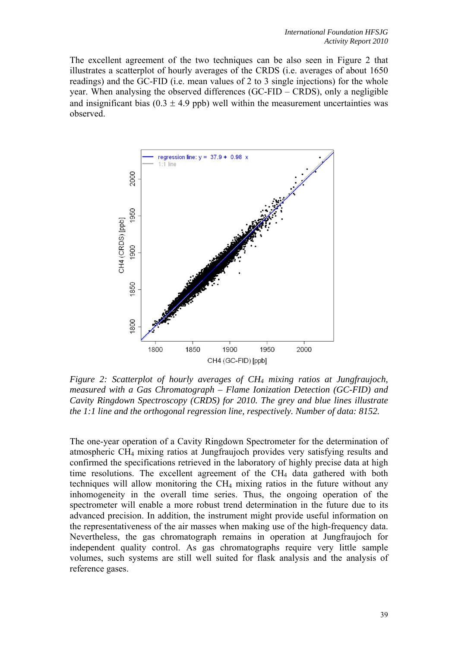The excellent agreement of the two techniques can be also seen in Figure 2 that illustrates a scatterplot of hourly averages of the CRDS (i.e. averages of about 1650 readings) and the GC-FID (i.e. mean values of 2 to 3 single injections) for the whole year. When analysing the observed differences (GC-FID – CRDS), only a negligible and insignificant bias  $(0.3 \pm 4.9 \text{ pb})$  well within the measurement uncertainties was observed.



*Figure 2: Scatterplot of hourly averages of CH4 mixing ratios at Jungfraujoch, measured with a Gas Chromatograph – Flame Ionization Detection (GC-FID) and Cavity Ringdown Spectroscopy (CRDS) for 2010. The grey and blue lines illustrate the 1:1 line and the orthogonal regression line, respectively. Number of data: 8152.* 

The one-year operation of a Cavity Ringdown Spectrometer for the determination of atmospheric CH4 mixing ratios at Jungfraujoch provides very satisfying results and confirmed the specifications retrieved in the laboratory of highly precise data at high time resolutions. The excellent agreement of the CH<sub>4</sub> data gathered with both techniques will allow monitoring the  $CH_4$  mixing ratios in the future without any inhomogeneity in the overall time series. Thus, the ongoing operation of the spectrometer will enable a more robust trend determination in the future due to its advanced precision. In addition, the instrument might provide useful information on the representativeness of the air masses when making use of the high-frequency data. Nevertheless, the gas chromatograph remains in operation at Jungfraujoch for independent quality control. As gas chromatographs require very little sample volumes, such systems are still well suited for flask analysis and the analysis of reference gases.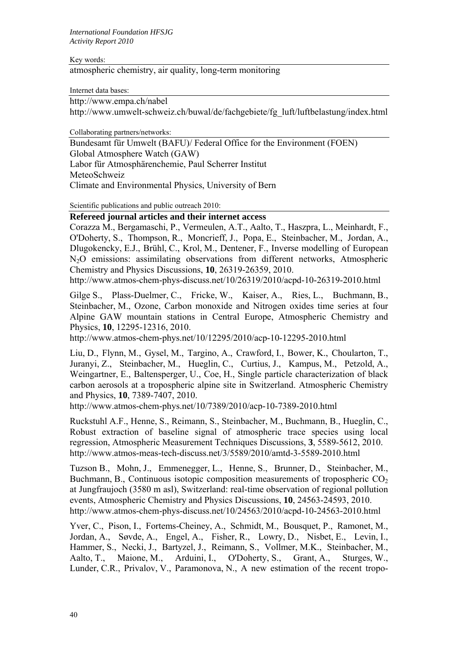Key words:

atmospheric chemistry, air quality, long-term monitoring

Internet data bases:

http://www.empa.ch/nabel

http://www.umwelt-schweiz.ch/buwal/de/fachgebiete/fg\_luft/luftbelastung/index.html

Collaborating partners/networks:

Bundesamt für Umwelt (BAFU)/ Federal Office for the Environment (FOEN) Global Atmosphere Watch (GAW) Labor für Atmosphärenchemie, Paul Scherrer Institut MeteoSchweiz Climate and Environmental Physics, University of Bern

Scientific publications and public outreach 2010:

# **Refereed journal articles and their internet access**

Corazza M., Bergamaschi, P., Vermeulen, A.T., Aalto, T., Haszpra, L., Meinhardt, F., O'Doherty, S., Thompson, R., Moncrieff, J., Popa, E., Steinbacher, M., Jordan, A., Dlugokencky, E.J., Brühl, C., Krol, M., Dentener, F., Inverse modelling of European N2O emissions: assimilating observations from different networks, Atmospheric Chemistry and Physics Discussions, **10**, 26319-26359, 2010.

http://www.atmos-chem-phys-discuss.net/10/26319/2010/acpd-10-26319-2010.html

Gilge S., Plass-Duelmer, C., Fricke, W., Kaiser, A., Ries, L., Buchmann, B., Steinbacher, M., Ozone, Carbon monoxide and Nitrogen oxides time series at four Alpine GAW mountain stations in Central Europe, Atmospheric Chemistry and Physics, **10**, 12295-12316, 2010.

http://www.atmos-chem-phys.net/10/12295/2010/acp-10-12295-2010.html

Liu, D., Flynn, M., Gysel, M., Targino, A., Crawford, I., Bower, K., Choularton, T., Juranyi, Z., Steinbacher, M., Hueglin, C., Curtius, J., Kampus, M., Petzold, A., Weingartner, E., Baltensperger, U., Coe, H., Single particle characterization of black carbon aerosols at a tropospheric alpine site in Switzerland. Atmospheric Chemistry and Physics, **10**, 7389-7407, 2010.

http://www.atmos-chem-phys.net/10/7389/2010/acp-10-7389-2010.html

Ruckstuhl A.F., Henne, S., Reimann, S., Steinbacher, M., Buchmann, B., Hueglin, C., Robust extraction of baseline signal of atmospheric trace species using local regression, Atmospheric Measurement Techniques Discussions, **3**, 5589-5612, 2010. http://www.atmos-meas-tech-discuss.net/3/5589/2010/amtd-3-5589-2010.html

Tuzson B., Mohn, J., Emmenegger, L., Henne, S., Brunner, D., Steinbacher, M., Buchmann, B., Continuous isotopic composition measurements of tropospheric  $CO<sub>2</sub>$ at Jungfraujoch (3580 m asl), Switzerland: real-time observation of regional pollution events, Atmospheric Chemistry and Physics Discussions, **10**, 24563-24593, 2010. http://www.atmos-chem-phys-discuss.net/10/24563/2010/acpd-10-24563-2010.html

Yver, C., Pison, I., Fortems-Cheiney, A., Schmidt, M., Bousquet, P., Ramonet, M., Jordan, A., Søvde, A., Engel, A., Fisher, R., Lowry, D., Nisbet, E., Levin, I., Hammer, S., Necki, J., Bartyzel, J., Reimann, S., Vollmer, M.K., Steinbacher, M., Aalto, T., Maione, M., Arduini, I., O'Doherty, S., Grant, A., Sturges, W., Lunder, C.R., Privalov, V., Paramonova, N., A new estimation of the recent tropo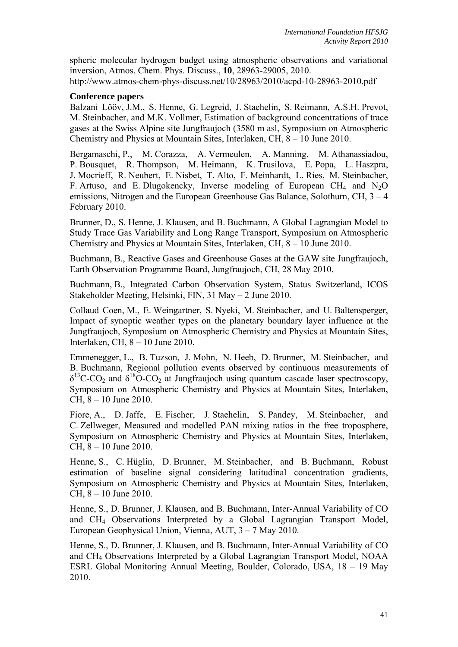spheric molecular hydrogen budget using atmospheric observations and variational inversion, Atmos. Chem. Phys. Discuss., **10**, 28963-29005, 2010. http://www.atmos-chem-phys-discuss.net/10/28963/2010/acpd-10-28963-2010.pdf

# **Conference papers**

Balzani Lööv, J.M., S. Henne, G. Legreid, J. Staehelin, S. Reimann, A.S.H. Prevot, M. Steinbacher, and M.K. Vollmer, Estimation of background concentrations of trace gases at the Swiss Alpine site Jungfraujoch (3580 m asl, Symposium on Atmospheric Chemistry and Physics at Mountain Sites, Interlaken, CH, 8 – 10 June 2010.

Bergamaschi, P., M. Corazza, A. Vermeulen, A. Manning, M. Athanassiadou, P. Bousquet, R. Thompson, M. Heimann, K. Trusilova, E. Popa, L. Haszpra, J. Mocrieff, R. Neubert, E. Nisbet, T. Alto, F. Meinhardt, L. Ries, M. Steinbacher, F. Artuso, and E. Dlugokencky, Inverse modeling of European CH<sub>4</sub> and N<sub>2</sub>O emissions, Nitrogen and the European Greenhouse Gas Balance, Solothurn, CH, 3 – 4 February 2010.

Brunner, D., S. Henne, J. Klausen, and B. Buchmann, A Global Lagrangian Model to Study Trace Gas Variability and Long Range Transport, Symposium on Atmospheric Chemistry and Physics at Mountain Sites, Interlaken, CH, 8 – 10 June 2010.

Buchmann, B., Reactive Gases and Greenhouse Gases at the GAW site Jungfraujoch, Earth Observation Programme Board, Jungfraujoch, CH, 28 May 2010.

Buchmann, B., Integrated Carbon Observation System, Status Switzerland, ICOS Stakeholder Meeting, Helsinki, FIN, 31 May – 2 June 2010.

Collaud Coen, M., E. Weingartner, S. Nyeki, M. Steinbacher, and U. Baltensperger, Impact of synoptic weather types on the planetary boundary layer influence at the Jungfraujoch, Symposium on Atmospheric Chemistry and Physics at Mountain Sites, Interlaken, CH, 8 – 10 June 2010.

Emmenegger, L., B. Tuzson, J. Mohn, N. Heeb, D. Brunner, M. Steinbacher, and B. Buchmann, Regional pollution events observed by continuous measurements of  $\delta^{13}$ C-CO<sub>2</sub> and  $\delta^{18}$ O-CO<sub>2</sub> at Jungfraujoch using quantum cascade laser spectroscopy, Symposium on Atmospheric Chemistry and Physics at Mountain Sites, Interlaken, CH, 8 – 10 June 2010.

Fiore, A., D. Jaffe, E. Fischer, J. Staehelin, S. Pandey, M. Steinbacher, and C. Zellweger, Measured and modelled PAN mixing ratios in the free troposphere, Symposium on Atmospheric Chemistry and Physics at Mountain Sites, Interlaken, CH, 8 – 10 June 2010.

Henne, S., C. Hüglin, D. Brunner, M. Steinbacher, and B. Buchmann, Robust estimation of baseline signal considering latitudinal concentration gradients, Symposium on Atmospheric Chemistry and Physics at Mountain Sites, Interlaken, CH, 8 – 10 June 2010.

Henne, S., D. Brunner, J. Klausen, and B. Buchmann, Inter-Annual Variability of CO and CH4 Observations Interpreted by a Global Lagrangian Transport Model, European Geophysical Union, Vienna, AUT, 3 – 7 May 2010.

Henne, S., D. Brunner, J. Klausen, and B. Buchmann, Inter-Annual Variability of CO and CH4 Observations Interpreted by a Global Lagrangian Transport Model, NOAA ESRL Global Monitoring Annual Meeting, Boulder, Colorado, USA, 18 – 19 May 2010.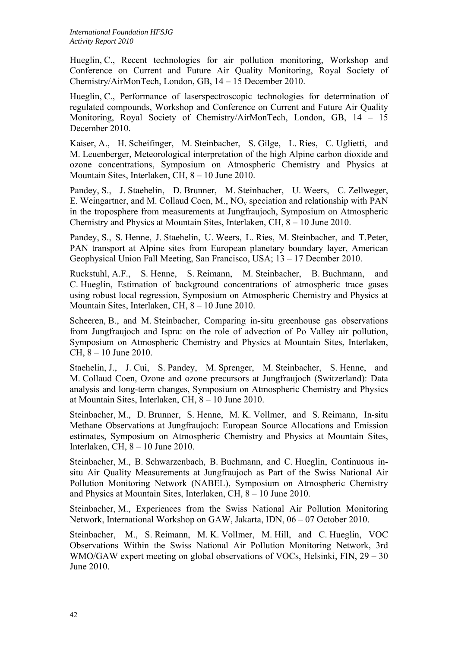Hueglin, C., Recent technologies for air pollution monitoring, Workshop and Conference on Current and Future Air Quality Monitoring, Royal Society of Chemistry/AirMonTech, London, GB, 14 – 15 December 2010.

Hueglin, C., Performance of laserspectroscopic technologies for determination of regulated compounds, Workshop and Conference on Current and Future Air Quality Monitoring, Royal Society of Chemistry/AirMonTech, London, GB, 14 – 15 December 2010.

Kaiser, A., H. Scheifinger, M. Steinbacher, S. Gilge, L. Ries, C. Uglietti, and M. Leuenberger, Meteorological interpretation of the high Alpine carbon dioxide and ozone concentrations, Symposium on Atmospheric Chemistry and Physics at Mountain Sites, Interlaken, CH, 8 – 10 June 2010.

Pandey, S., J. Staehelin, D. Brunner, M. Steinbacher, U. Weers, C. Zellweger, E. Weingartner, and M. Collaud Coen, M., NOy speciation and relationship with PAN in the troposphere from measurements at Jungfraujoch, Symposium on Atmospheric Chemistry and Physics at Mountain Sites, Interlaken, CH, 8 – 10 June 2010.

Pandey, S., S. Henne, J. Staehelin, U. Weers, L. Ries, M. Steinbacher, and T.Peter, PAN transport at Alpine sites from European planetary boundary layer, American Geophysical Union Fall Meeting, San Francisco, USA; 13 – 17 Decmber 2010.

Ruckstuhl, A.F., S. Henne, S. Reimann, M. Steinbacher, B. Buchmann, and C. Hueglin, Estimation of background concentrations of atmospheric trace gases using robust local regression, Symposium on Atmospheric Chemistry and Physics at Mountain Sites, Interlaken, CH, 8 – 10 June 2010.

Scheeren, B., and M. Steinbacher, Comparing in-situ greenhouse gas observations from Jungfraujoch and Ispra: on the role of advection of Po Valley air pollution, Symposium on Atmospheric Chemistry and Physics at Mountain Sites, Interlaken, CH, 8 – 10 June 2010.

Staehelin, J., J. Cui, S. Pandey, M. Sprenger, M. Steinbacher, S. Henne, and M. Collaud Coen, Ozone and ozone precursors at Jungfraujoch (Switzerland): Data analysis and long-term changes, Symposium on Atmospheric Chemistry and Physics at Mountain Sites, Interlaken, CH, 8 – 10 June 2010.

Steinbacher, M., D. Brunner, S. Henne, M. K. Vollmer, and S. Reimann, In-situ Methane Observations at Jungfraujoch: European Source Allocations and Emission estimates, Symposium on Atmospheric Chemistry and Physics at Mountain Sites, Interlaken, CH, 8 – 10 June 2010.

Steinbacher, M., B. Schwarzenbach, B. Buchmann, and C. Hueglin, Continuous insitu Air Quality Measurements at Jungfraujoch as Part of the Swiss National Air Pollution Monitoring Network (NABEL), Symposium on Atmospheric Chemistry and Physics at Mountain Sites, Interlaken, CH, 8 – 10 June 2010.

Steinbacher, M., Experiences from the Swiss National Air Pollution Monitoring Network, International Workshop on GAW, Jakarta, IDN, 06 – 07 October 2010.

Steinbacher, M., S. Reimann, M. K. Vollmer, M. Hill, and C. Hueglin, VOC Observations Within the Swiss National Air Pollution Monitoring Network, 3rd WMO/GAW expert meeting on global observations of VOCs, Helsinki, FIN, 29 – 30 June 2010.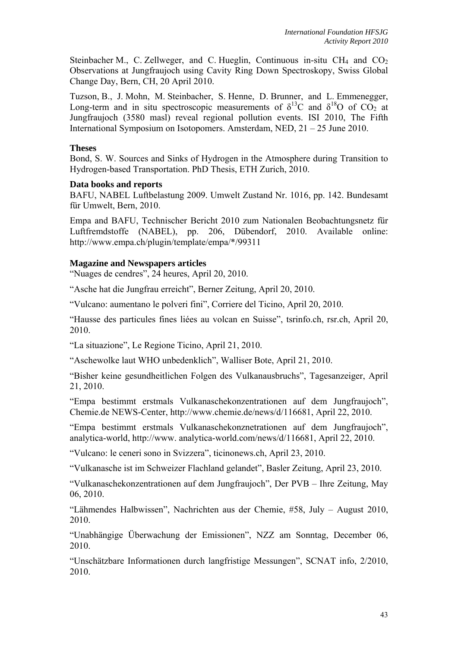Steinbacher M., C. Zellweger, and C. Hueglin, Continuous in-situ  $CH_4$  and  $CO_2$ Observations at Jungfraujoch using Cavity Ring Down Spectroskopy, Swiss Global Change Day, Bern, CH, 20 April 2010.

Tuzson, B., J. Mohn, M. Steinbacher, S. Henne, D. Brunner, and L. Emmenegger, Long-term and in situ spectroscopic measurements of  $\delta^{13}$ C and  $\delta^{18}$ O of CO<sub>2</sub> at Jungfraujoch (3580 masl) reveal regional pollution events. ISI 2010, The Fifth International Symposium on Isotopomers. Amsterdam, NED, 21 – 25 June 2010.

### **Theses**

Bond, S. W. Sources and Sinks of Hydrogen in the Atmosphere during Transition to Hydrogen-based Transportation. PhD Thesis, ETH Zurich, 2010.

#### **Data books and reports**

BAFU, NABEL Luftbelastung 2009. Umwelt Zustand Nr. 1016, pp. 142. Bundesamt für Umwelt, Bern, 2010.

Empa and BAFU, Technischer Bericht 2010 zum Nationalen Beobachtungsnetz für Luftfremdstoffe (NABEL), pp. 206, Dübendorf, 2010. Available online: http://www.empa.ch/plugin/template/empa/\*/99311

# **Magazine and Newspapers articles**

"Nuages de cendres", 24 heures, April 20, 2010.

"Asche hat die Jungfrau erreicht", Berner Zeitung, April 20, 2010.

"Vulcano: aumentano le polveri fini", Corriere del Ticino, April 20, 2010.

"Hausse des particules fines liées au volcan en Suisse", tsrinfo.ch, rsr.ch, April 20, 2010.

"La situazione", Le Regione Ticino, April 21, 2010.

"Aschewolke laut WHO unbedenklich", Walliser Bote, April 21, 2010.

"Bisher keine gesundheitlichen Folgen des Vulkanausbruchs", Tagesanzeiger, April 21, 2010.

"Empa bestimmt erstmals Vulkanaschekonzentrationen auf dem Jungfraujoch", Chemie.de NEWS-Center, http://www.chemie.de/news/d/116681, April 22, 2010.

"Empa bestimmt erstmals Vulkanaschekonznetrationen auf dem Jungfraujoch", analytica-world, http://www. analytica-world.com/news/d/116681, April 22, 2010.

"Vulcano: le ceneri sono in Svizzera", ticinonews.ch, April 23, 2010.

"Vulkanasche ist im Schweizer Flachland gelandet", Basler Zeitung, April 23, 2010.

"Vulkanaschekonzentrationen auf dem Jungfraujoch", Der PVB – Ihre Zeitung, May 06, 2010.

"Lähmendes Halbwissen", Nachrichten aus der Chemie, #58, July – August 2010, 2010.

"Unabhängige Überwachung der Emissionen", NZZ am Sonntag, December 06, 2010.

"Unschätzbare Informationen durch langfristige Messungen", SCNAT info, 2/2010, 2010.